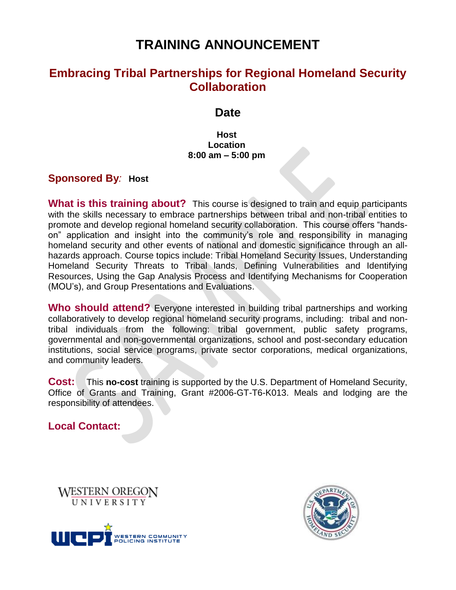# **TRAINING ANNOUNCEMENT**

# **Embracing Tribal Partnerships for Regional Homeland Security Collaboration**

### **Date**

**Host Location 8:00 am – 5:00 pm**

#### **Sponsored By***:* **Host**

**What is this training about?** This course is designed to train and equip participants with the skills necessary to embrace partnerships between tribal and non-tribal entities to promote and develop regional homeland security collaboration. This course offers "handson" application and insight into the community's role and responsibility in managing homeland security and other events of national and domestic significance through an allhazards approach. Course topics include: Tribal Homeland Security Issues, Understanding Homeland Security Threats to Tribal lands, Defining Vulnerabilities and Identifying Resources, Using the Gap Analysis Process and Identifying Mechanisms for Cooperation (MOU's), and Group Presentations and Evaluations.

**Who should attend?** Everyone interested in building tribal partnerships and working collaboratively to develop regional homeland security programs, including: tribal and nontribal individuals from the following: tribal government, public safety programs, governmental and non-governmental organizations, school and post-secondary education institutions, social service programs, private sector corporations, medical organizations, and community leaders.

**Cost:** This **no-cost** training is supported by the U.S. Department of Homeland Security, Office of Grants and Training, Grant #2006-GT-T6-K013. Meals and lodging are the responsibility of attendees.

**Local Contact:** 

**WESTERN OREGON** UNIVERSITY



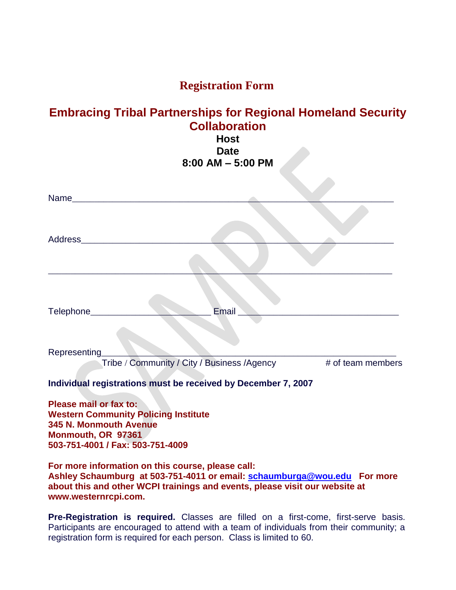## **Registration Form**

### **Embracing Tribal Partnerships for Regional Homeland Security Collaboration Host**

# **Date 8:00 AM – 5:00 PM**

 $\epsilon$ 

| Name                                                                                                                                                                                                         |
|--------------------------------------------------------------------------------------------------------------------------------------------------------------------------------------------------------------|
| Address                                                                                                                                                                                                      |
|                                                                                                                                                                                                              |
| Email<br>Telephone___                                                                                                                                                                                        |
| Representing                                                                                                                                                                                                 |
| Tribe / Community / City / Business / Agency # of team members                                                                                                                                               |
| Individual registrations must be received by December 7, 2007                                                                                                                                                |
| Please mail or fax to:<br><b>Western Community Policing Institute</b><br>345 N. Monmouth Avenue<br>Monmouth, OR 97361<br>503-751-4001 / Fax: 503-751-4009                                                    |
| For more information on this course, please call:<br>Ashley Schaumburg at 503-751-4011 or email: schaumburga@wou.edu For more<br>about this and other WCPI trainings and events, please visit our website at |

**www.westernrcpi.com.**

**Pre-Registration is required.** Classes are filled on a first-come, first-serve basis. Participants are encouraged to attend with a team of individuals from their community; a registration form is required for each person. Class is limited to 60.